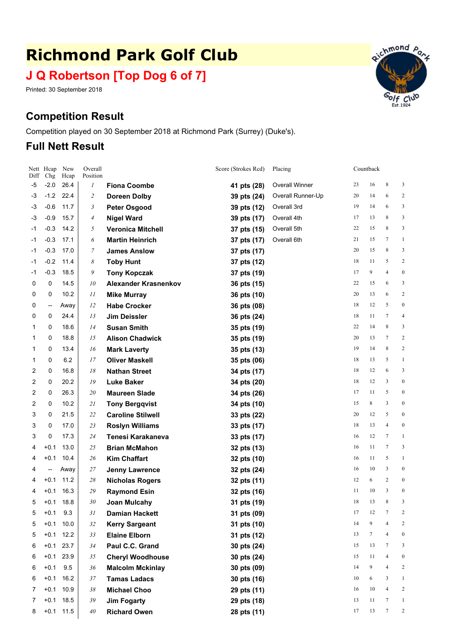# **Richmond Park Golf Club**

# **J Q Robertson [Top Dog 6 of 7]**

Printed: 30 September 2018

# **Competition Result**

Competition played on 30 September 2018 at Richmond Park (Surrey) (Duke's).

## **Full Nett Result**

| Diff           | Nett Hcap<br>Chg | New<br>Hcap | Overall<br>Position |                             | Score (Strokes Rcd) | Placing               |    | Countback |                  |                  |
|----------------|------------------|-------------|---------------------|-----------------------------|---------------------|-----------------------|----|-----------|------------------|------------------|
| -5             | $-2.0$           | 26.4        | $\boldsymbol{l}$    | <b>Fiona Coombe</b>         | 41 pts (28)         | <b>Overall Winner</b> | 23 | 16        | 8                | 3                |
| -3             | $-1.2$           | 22.4        | $\overline{c}$      | <b>Doreen Dolby</b>         | 39 pts (24)         | Overall Runner-Up     | 20 | 14        | 6                | 2                |
| -3             | $-0.6$           | 11.7        | 3                   | <b>Peter Osgood</b>         | 39 pts (12)         | Overall 3rd           | 19 | 14        | 6                | 3                |
| -3             | $-0.9$           | 15.7        | 4                   | <b>Nigel Ward</b>           | 39 pts (17)         | Overall 4th           | 17 | 13        | 8                | 3                |
| $-1$           | $-0.3$           | 14.2        | 5                   | <b>Veronica Mitchell</b>    | 37 pts (15)         | Overall 5th           | 22 | 15        | 8                | 3                |
| -1             | $-0.3$           | 17.1        | 6                   | <b>Martin Heinrich</b>      | 37 pts (17)         | Overall 6th           | 21 | 15        | 7                | $\mathbf{1}$     |
| $-1$           | $-0.3$           | 17.0        | 7                   | <b>James Anslow</b>         | 37 pts (17)         |                       | 20 | 15        | 8                | 3                |
| $-1$           | $-0.2$           | 11.4        | 8                   | <b>Toby Hunt</b>            | 37 pts (12)         |                       | 18 | 11        | 5                | $\overline{c}$   |
| $-1$           | $-0.3$           | 18.5        | 9                   | <b>Tony Kopczak</b>         | 37 pts (19)         |                       | 17 | 9         | $\overline{4}$   | $\boldsymbol{0}$ |
| 0              | 0                | 14.5        | 10                  | <b>Alexander Krasnenkov</b> | 36 pts (15)         |                       | 22 | 15        | 6                | 3                |
| 0              | 0                | 10.2        | 11                  | <b>Mike Murray</b>          | 36 pts (10)         |                       | 20 | 13        | 6                | $\sqrt{2}$       |
| 0              | ⊷                | Away        | 12                  | <b>Habe Crocker</b>         | 36 pts (08)         |                       | 18 | 12        | 5                | $\boldsymbol{0}$ |
| 0              | 0                | 24.4        | 13                  | <b>Jim Deissler</b>         | 36 pts (24)         |                       | 18 | 11        | 7                | $\overline{4}$   |
| 1              | 0                | 18.6        | 14                  | <b>Susan Smith</b>          | 35 pts (19)         |                       | 22 | 14        | 8                | 3                |
| 1              | 0                | 18.8        | 15                  | <b>Alison Chadwick</b>      | 35 pts (19)         |                       | 20 | 13        | 7                | $\sqrt{2}$       |
| 1              | 0                | 13.4        | 16                  | <b>Mark Laverty</b>         | 35 pts (13)         |                       | 19 | 14        | 8                | $\overline{c}$   |
| 1              | 0                | 6.2         | 17                  | <b>Oliver Maskell</b>       | 35 pts (06)         |                       | 18 | 13        | 5                | $\mathbf{1}$     |
| 2              | 0                | 16.8        | 18                  | <b>Nathan Street</b>        | 34 pts (17)         |                       | 18 | 12        | 6                | 3                |
| 2              | 0                | 20.2        | 19                  | <b>Luke Baker</b>           | 34 pts (20)         |                       | 18 | 12        | 3                | $\boldsymbol{0}$ |
| 2              | 0                | 26.3        | 20                  | <b>Maureen Slade</b>        | 34 pts (26)         |                       | 17 | 11        | 5                | $\boldsymbol{0}$ |
| $\overline{c}$ | 0                | 10.2        | 21                  | <b>Tony Bergqvist</b>       | 34 pts (10)         |                       | 15 | 8         | 3                | $\boldsymbol{0}$ |
| 3              | 0                | 21.5        | 22                  | <b>Caroline Stilwell</b>    | 33 pts (22)         |                       | 20 | 12        | 5                | $\boldsymbol{0}$ |
| 3              | 0                | 17.0        | 23                  | <b>Roslyn Williams</b>      | 33 pts (17)         |                       | 18 | 13        | $\overline{4}$   | $\boldsymbol{0}$ |
| 3              | 0                | 17.3        | 24                  | Tenesi Karakaneva           | 33 pts (17)         |                       | 16 | 12        | 7                | $\mathbf{1}$     |
| 4              | $+0.1$           | 13.0        | 25                  | <b>Brian McMahon</b>        | 32 pts (13)         |                       | 16 | 11        | 7                | 3                |
| 4              | $+0.1$           | 10.4        | 26                  | <b>Kim Chaffart</b>         | 32 pts (10)         |                       | 16 | 11        | 5                | $\mathbf{1}$     |
| 4              | —                | Away        | 27                  | <b>Jenny Lawrence</b>       | 32 pts (24)         |                       | 16 | 10        | 3                | $\boldsymbol{0}$ |
| 4              | $+0.1$           | 11.2        | 28                  | <b>Nicholas Rogers</b>      | 32 pts (11)         |                       | 12 | 6         | 2                | $\boldsymbol{0}$ |
| 4              | $+0.1$           | 16.3        | 29                  | <b>Raymond Esin</b>         | 32 pts (16)         |                       | 11 | 10        | 3                | $\boldsymbol{0}$ |
| 5              | $+0.1$           | 18.8        | 30                  | <b>Joan Mulcahy</b>         | 31 pts (19)         |                       | 18 | 13        | 8                | 3                |
| 5              | $+0.1$           | 9.3         | 31                  | <b>Damian Hackett</b>       | 31 pts (09)         |                       | 17 | 12        | $\boldsymbol{7}$ | $\sqrt{2}$       |
| 5              | $+0.1$           | 10.0        | 32                  | <b>Kerry Sargeant</b>       | 31 pts (10)         |                       | 14 | 9         | 4                | 2                |
| 5              | $+0.1$           | 12.2        | 33                  | <b>Elaine Elborn</b>        | 31 pts (12)         |                       | 13 | $\tau$    | 4                | $\boldsymbol{0}$ |
| 6              | $+0.1$           | 23.7        | 34                  | Paul C.C. Grand             | 30 pts (24)         |                       | 15 | 13        | 7                | 3                |
| 6              | $+0.1$           | 23.9        | 35                  | <b>Cheryl Woodhouse</b>     | 30 pts (24)         |                       | 15 | 11        | 4                | $\boldsymbol{0}$ |
| 6              | $+0.1$           | 9.5         | 36                  | <b>Malcolm Mckinlay</b>     | 30 pts (09)         |                       | 14 | 9         | 4                | $\overline{c}$   |
| 6              | $+0.1$           | 16.2        | $37\,$              | <b>Tamas Ladacs</b>         | 30 pts (16)         |                       | 10 | 6         | 3                | $\mathbf{1}$     |
| $\overline{7}$ | $+0.1$           | 10.9        | 38                  | <b>Michael Choo</b>         | 29 pts (11)         |                       | 16 | 10        | 4                | $\sqrt{2}$       |
| 7              | $+0.1$           | 18.5        | 39                  | <b>Jim Fogarty</b>          | 29 pts (18)         |                       | 13 | 11        | 7                | $\mathbf{1}$     |
| 8              |                  | $+0.1$ 11.5 | $40\,$              | <b>Richard Owen</b>         | 28 pts (11)         |                       | 17 | 13        | 7                | 2                |